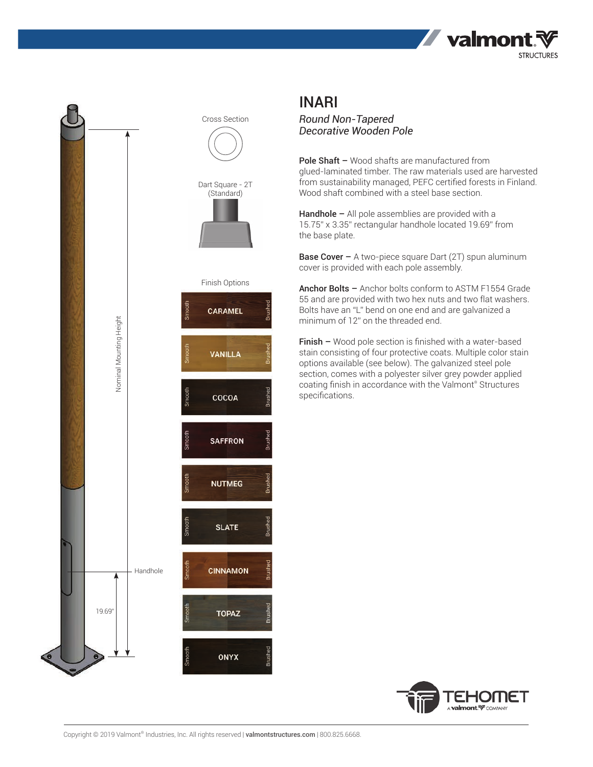



## INARI

*Round Non-Tapered Decorative Wooden Pole*

Pole Shaft - Wood shafts are manufactured from glued-laminated timber. The raw materials used are harvested from sustainability managed, PEFC certified forests in Finland. Wood shaft combined with a steel base section.

Handhole – All pole assemblies are provided with a 15.75" x 3.35" rectangular handhole located 19.69" from the base plate.

**Base Cover –** A two-piece square Dart (2T) spun aluminum cover is provided with each pole assembly.

Anchor Bolts - Anchor bolts conform to ASTM F1554 Grade 55 and are provided with two hex nuts and two flat washers. Bolts have an "L" bend on one end and are galvanized a minimum of 12" on the threaded end.

Finish – Wood pole section is finished with a water-based stain consisting of four protective coats. Multiple color stain options available (see below). The galvanized steel pole section, comes with a polyester silver grey powder applied coating finish in accordance with the Valmont® Structures specifications.